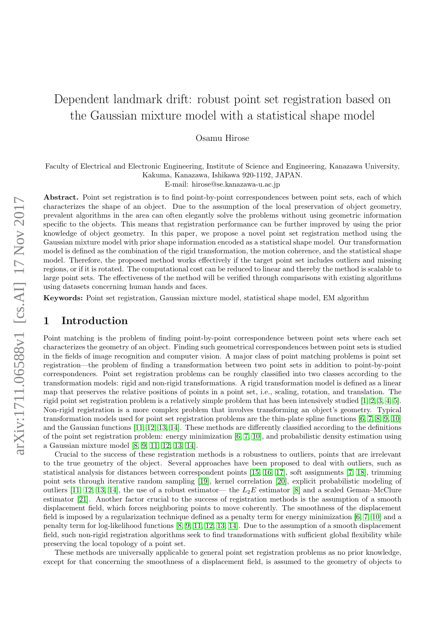# Dependent landmark drift: robust point set registration based on the Gaussian mixture model with a statistical shape model

### Osamu Hirose

Faculty of Electrical and Electronic Engineering, Institute of Science and Engineering, Kanazawa University, Kakuma, Kanazawa, Ishikawa 920-1192, JAPAN.

E-mail: hirose@se.kanazawa-u.ac.jp

Abstract. Point set registration is to find point-by-point correspondences between point sets, each of which characterizes the shape of an object. Due to the assumption of the local preservation of object geometry, prevalent algorithms in the area can often elegantly solve the problems without using geometric information specific to the objects. This means that registration performance can be further improved by using the prior knowledge of object geometry. In this paper, we propose a novel point set registration method using the Gaussian mixture model with prior shape information encoded as a statistical shape model. Our transformation model is defined as the combination of the rigid transformation, the motion coherence, and the statistical shape model. Therefore, the proposed method works effectively if the target point set includes outliers and missing regions, or if it is rotated. The computational cost can be reduced to linear and thereby the method is scalable to large point sets. The effectiveness of the method will be verified through comparisons with existing algorithms using datasets concerning human hands and faces.

Keywords: Point set registration, Gaussian mixture model, statistical shape model, EM algorithm

# 1 Introduction

Point matching is the problem of finding point-by-point correspondence between point sets where each set characterizes the geometry of an object. Finding such geometrical correspondences between point sets is studied in the fields of image recognition and computer vision. A major class of point matching problems is point set registration—the problem of finding a transformation between two point sets in addition to point-by-point correspondences. Point set registration problems can be roughly classified into two classes according to the transformation models: rigid and non-rigid transformations. A rigid transformation model is defined as a linear map that preserves the relative positions of points in a point set, i.e., scaling, rotation, and translation. The rigid point set registration problem is a relatively simple problem that has been intensively studied [\[1,](#page-14-0) [2,](#page-14-1) [3,](#page-14-2) [4,](#page-14-3) [5\]](#page-14-4). Non-rigid registration is a more complex problem that involves transforming an object's geometry. Typical transformation models used for point set registration problems are the thin-plate spline functions [\[6,](#page-14-5) [7,](#page-14-6) [8,](#page-14-7) [9,](#page-14-8) [10\]](#page-15-0) and the Gaussian functions [\[11,](#page-15-1) [12,](#page-15-2) [13,](#page-15-3) [14\]](#page-15-4). These methods are differently classified according to the definitions of the point set registration problem: energy minimization [\[6,](#page-14-5) [7,](#page-14-6) [10\]](#page-15-0), and probabilistic density estimation using a Gaussian mixture model [\[8,](#page-14-7) [9,](#page-14-8) [11,](#page-15-1) [12,](#page-15-2) [13,](#page-15-3) [14\]](#page-15-4).

Crucial to the success of these registration methods is a robustness to outliers, points that are irrelevant to the true geometry of the object. Several approaches have been proposed to deal with outliers, such as statistical analysis for distances between correspondent points [\[15,](#page-15-5) [16,](#page-15-6) [17\]](#page-15-7), soft assignments [\[7,](#page-14-6) [18\]](#page-15-8), trimming point sets through iterative random sampling [\[19\]](#page-15-9), kernel correlation [\[20\]](#page-15-10), explicit probabilistic modeling of outliers [\[11,](#page-15-1) [12,](#page-15-2) [13,](#page-15-3) [14\]](#page-15-4), the use of a robust estimator— the  $L_2E$  estimator [\[8\]](#page-14-7) and a scaled Geman–McClure estimator [\[21\]](#page-15-11). Another factor crucial to the success of registration methods is the assumption of a smooth displacement field, which forces neighboring points to move coherently. The smoothness of the displacement field is imposed by a regularization technique defined as a penalty term for energy minimization [\[6,](#page-14-5) [7,](#page-14-6) [10\]](#page-15-0) and a penalty term for log-likelihood functions [\[8,](#page-14-7) [9,](#page-14-8) [11,](#page-15-1) [12,](#page-15-2) [13,](#page-15-3) [14\]](#page-15-4). Due to the assumption of a smooth displacement field, such non-rigid registration algorithms seek to find transformations with sufficient global flexibility while preserving the local topology of a point set.

These methods are universally applicable to general point set registration problems as no prior knowledge, except for that concerning the smoothness of a displacement field, is assumed to the geometry of objects to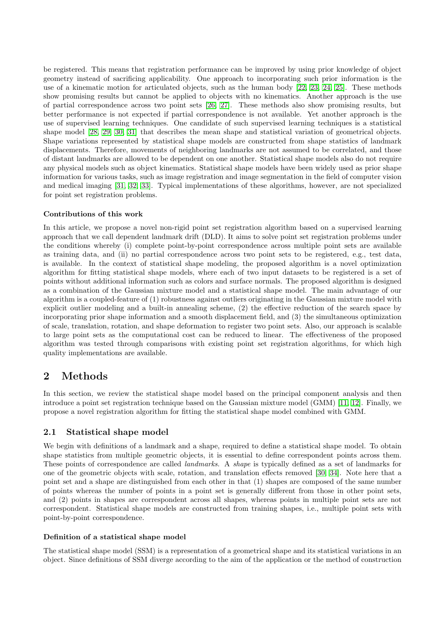be registered. This means that registration performance can be improved by using prior knowledge of object geometry instead of sacrificing applicability. One approach to incorporating such prior information is the use of a kinematic motion for articulated objects, such as the human body [\[22,](#page-15-12) [23,](#page-15-13) [24,](#page-15-14) [25\]](#page-15-15). These methods show promising results but cannot be applied to objects with no kinematics. Another approach is the use of partial correspondence across two point sets [\[26,](#page-15-16) [27\]](#page-15-17). These methods also show promising results, but better performance is not expected if partial correspondence is not available. Yet another approach is the use of supervised learning techniques. One candidate of such supervised learning techniques is a statistical shape model [\[28,](#page-15-18) [29,](#page-15-19) [30,](#page-15-20) [31\]](#page-16-0) that describes the mean shape and statistical variation of geometrical objects. Shape variations represented by statistical shape models are constructed from shape statistics of landmark displacements. Therefore, movements of neighboring landmarks are not assumed to be correlated, and those of distant landmarks are allowed to be dependent on one another. Statistical shape models also do not require any physical models such as object kinematics. Statistical shape models have been widely used as prior shape information for various tasks, such as image registration and image segmentation in the field of computer vision and medical imaging [\[31,](#page-16-0) [32,](#page-16-1) [33\]](#page-16-2). Typical implementations of these algorithms, however, are not specialized for point set registration problems.

## Contributions of this work

In this article, we propose a novel non-rigid point set registration algorithm based on a supervised learning approach that we call dependent landmark drift (DLD). It aims to solve point set registration problems under the conditions whereby (i) complete point-by-point correspondence across multiple point sets are available as training data, and (ii) no partial correspondence across two point sets to be registered, e.g., test data, is available. In the context of statistical shape modeling, the proposed algorithm is a novel optimization algorithm for fitting statistical shape models, where each of two input datasets to be registered is a set of points without additional information such as colors and surface normals. The proposed algorithm is designed as a combination of the Gaussian mixture model and a statistical shape model. The main advantage of our algorithm is a coupled-feature of (1) robustness against outliers originating in the Gaussian mixture model with explicit outlier modeling and a built-in annealing scheme, (2) the effective reduction of the search space by incorporating prior shape information and a smooth displacement field, and (3) the simultaneous optimization of scale, translation, rotation, and shape deformation to register two point sets. Also, our approach is scalable to large point sets as the computational cost can be reduced to linear. The effectiveness of the proposed algorithm was tested through comparisons with existing point set registration algorithms, for which high quality implementations are available.

# 2 Methods

In this section, we review the statistical shape model based on the principal component analysis and then introduce a point set registration technique based on the Gaussian mixture model (GMM) [\[11,](#page-15-1) [12\]](#page-15-2). Finally, we propose a novel registration algorithm for fitting the statistical shape model combined with GMM.

# 2.1 Statistical shape model

We begin with definitions of a landmark and a shape, required to define a statistical shape model. To obtain shape statistics from multiple geometric objects, it is essential to define correspondent points across them. These points of correspondence are called *landmarks*. A *shape* is typically defined as a set of landmarks for one of the geometric objects with scale, rotation, and translation effects removed [\[30,](#page-15-20) [34\]](#page-16-3). Note here that a point set and a shape are distinguished from each other in that (1) shapes are composed of the same number of points whereas the number of points in a point set is generally different from those in other point sets, and (2) points in shapes are correspondent across all shapes, whereas points in multiple point sets are not correspondent. Statistical shape models are constructed from training shapes, i.e., multiple point sets with point-by-point correspondence.

## Definition of a statistical shape model

The statistical shape model (SSM) is a representation of a geometrical shape and its statistical variations in an object. Since definitions of SSM diverge according to the aim of the application or the method of construction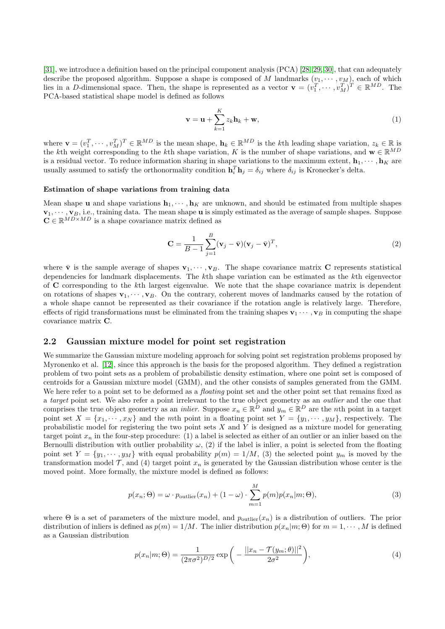[\[31\]](#page-16-0), we introduce a definition based on the principal component analysis (PCA) [\[28,](#page-15-18) [29,](#page-15-19) [30\]](#page-15-20), that can adequately describe the proposed algorithm. Suppose a shape is composed of M landmarks  $(v_1, \dots, v_M)$ , each of which lies in a D-dimensional space. Then, the shape is represented as a vector  $\mathbf{v} = (v_1^T, \dots, v_M^T)^T \in \mathbb{R}^{MD}$ . The PCA-based statistical shape model is defined as follows

<span id="page-2-1"></span>
$$
\mathbf{v} = \mathbf{u} + \sum_{k=1}^{K} z_k \mathbf{h}_k + \mathbf{w},
$$
 (1)

where  $\mathbf{v} = (v_1^T, \dots, v_M^T)^T \in \mathbb{R}^{MD}$  is the mean shape,  $\mathbf{h}_k \in \mathbb{R}^{MD}$  is the kth leading shape variation,  $z_k \in \mathbb{R}$  is the kth weight corresponding to the kth shape variation, K is the number of shape variations, and  $\mathbf{w} \in \mathbb{R}^{MD}$ is a residual vector. To reduce information sharing in shape variations to the maximum extent,  $\mathbf{h}_1, \dots, \mathbf{h}_K$  are usually assumed to satisfy the orthonormality condition  $\mathbf{h}_i^T \mathbf{h}_j = \delta_{ij}$  where  $\delta_{ij}$  is Kronecker's delta.

#### Estimation of shape variations from training data

Mean shape **u** and shape variations  $\mathbf{h}_1, \dots, \mathbf{h}_K$  are unknown, and should be estimated from multiple shapes  $\mathbf{v}_1, \dots, \mathbf{v}_B$ , i.e., training data. The mean shape **u** is simply estimated as the average of sample shapes. Suppose  $\mathbf{C} \in \mathbb{R}^{MD \times MD}$  is a shape covariance matrix defined as

$$
\mathbf{C} = \frac{1}{B-1} \sum_{j=1}^{B} (\mathbf{v}_j - \bar{\mathbf{v}})(\mathbf{v}_j - \bar{\mathbf{v}})^T, \tag{2}
$$

where  $\bar{\mathbf{v}}$  is the sample average of shapes  $\mathbf{v}_1, \dots, \mathbf{v}_B$ . The shape covariance matrix C represents statistical dependencies for landmark displacements. The kth shape variation can be estimated as the kth eigenvector of C corresponding to the kth largest eigenvalue. We note that the shape covariance matrix is dependent on rotations of shapes  $\mathbf{v}_1, \dots, \mathbf{v}_B$ . On the contrary, coherent moves of landmarks caused by the rotation of a whole shape cannot be represented as their covariance if the rotation angle is relatively large. Therefore, effects of rigid transformations must be eliminated from the training shapes  $\mathbf{v}_1 \cdots, \mathbf{v}_B$  in computing the shape covariance matrix C.

# 2.2 Gaussian mixture model for point set registration

We summarize the Gaussian mixture modeling approach for solving point set registration problems proposed by Myronenko et al. [\[12\]](#page-15-2), since this approach is the basis for the proposed algorithm. They defined a registration problem of two point sets as a problem of probabilistic density estimation, where one point set is composed of centroids for a Gaussian mixture model (GMM), and the other consists of samples generated from the GMM. We here refer to a point set to be deformed as a *floating* point set and the other point set that remains fixed as a *target* point set. We also refer a point irrelevant to the true object geometry as an *outlier* and the one that comprises the true object geometry as an *inlier*. Suppose  $x_n \in \mathbb{R}^D$  and  $y_m \in \mathbb{R}^D$  are the *n*th point in a target point set  $X = \{x_1, \dots, x_N\}$  and the mth point in a floating point set  $Y = \{y_1, \dots, y_M\}$ , respectively. The probabilistic model for registering the two point sets  $X$  and  $Y$  is designed as a mixture model for generating target point  $x_n$  in the four-step procedure: (1) a label is selected as either of an outlier or an inlier based on the Bernoulli distribution with outlier probability  $\omega$ , (2) if the label is inlier, a point is selected from the floating point set  $Y = \{y_1, \dots, y_M\}$  with equal probability  $p(m) = 1/M$ , (3) the selected point  $y_m$  is moved by the transformation model  $\mathcal{T}$ , and (4) target point  $x_n$  is generated by the Gaussian distribution whose center is the moved point. More formally, the mixture model is defined as follows:

<span id="page-2-2"></span>
$$
p(x_n; \Theta) = \omega \cdot p_{\text{outlier}}(x_n) + (1 - \omega) \cdot \sum_{m=1}^{M} p(m)p(x_n|m; \Theta),
$$
\n(3)

where  $\Theta$  is a set of parameters of the mixture model, and  $p_{\text{outlier}}(x_n)$  is a distribution of outliers. The prior distribution of inliers is defined as  $p(m) = 1/M$ . The inlier distribution  $p(x_n|m; \Theta)$  for  $m = 1, \dots, M$  is defined as a Gaussian distribution

<span id="page-2-0"></span>
$$
p(x_n|m; \Theta) = \frac{1}{(2\pi\sigma^2)^{D/2}} \exp\bigg(-\frac{||x_n - \mathcal{T}(y_m; \theta)||^2}{2\sigma^2}\bigg),\tag{4}
$$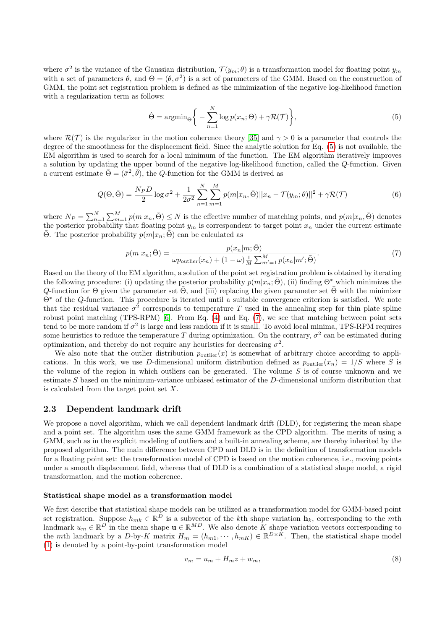where  $\sigma^2$  is the variance of the Gaussian distribution,  $\mathcal{T}(y_m;\theta)$  is a transformation model for floating point  $y_m$ with a set of parameters  $\theta$ , and  $\Theta = (\theta, \sigma^2)$  is a set of parameters of the GMM. Based on the construction of GMM, the point set registration problem is defined as the minimization of the negative log-likelihood function with a regularization term as follows:

<span id="page-3-2"></span><span id="page-3-0"></span>
$$
\hat{\Theta} = \operatorname{argmin}_{\Theta} \left\{ -\sum_{n=1}^{N} \log p(x_n; \Theta) + \gamma \mathcal{R}(\mathcal{T}) \right\},\tag{5}
$$

where  $\mathcal{R}(\mathcal{T})$  is the regularizer in the motion coherence theory [\[35\]](#page-16-4) and  $\gamma > 0$  is a parameter that controls the degree of the smoothness for the displacement field. Since the analytic solution for Eq. [\(5\)](#page-3-0) is not available, the EM algorithm is used to search for a local minimum of the function. The EM algorithm iteratively improves a solution by updating the upper bound of the negative log-likelihood function, called the Q-function. Given a current estimate  $\bar{\Theta} = (\bar{\sigma}^2, \bar{\theta}),$  the Q-function for the GMM is derived as

$$
Q(\Theta, \bar{\Theta}) = \frac{N_P D}{2} \log \sigma^2 + \frac{1}{2\sigma^2} \sum_{n=1}^{N} \sum_{m=1}^{M} p(m|x_n, \bar{\Theta}) ||x_n - \mathcal{T}(y_m; \theta)||^2 + \gamma \mathcal{R}(\mathcal{T})
$$
(6)

where  $N_P = \sum_{n=1}^{N} \sum_{m=1}^{M} p(m|x_n, \bar{\Theta}) \leq N$  is the effective number of matching points, and  $p(m|x_n, \bar{\Theta})$  denotes the posterior probability that floating point  $y_m$  is correspondent to target point  $x_n$  under the current estimate  $\overline{\Theta}$ . The posterior probability  $p(m|x_n;\overline{\Theta})$  can be calculated as

<span id="page-3-1"></span>
$$
p(m|x_n; \bar{\Theta}) = \frac{p(x_n|m; \bar{\Theta})}{\omega p_{\text{outlier}}(x_n) + (1 - \omega) \frac{1}{M} \sum_{m'=1}^{M} p(x_n|m'; \bar{\Theta})}.
$$
\n<sup>(7)</sup>

Based on the theory of the EM algorithm, a solution of the point set registration problem is obtained by iterating the following procedure: (i) updating the posterior probability  $p(m|x_n; \bar{\Theta})$ , (ii) finding  $\Theta^*$  which minimizes the  $Q$ -function for  $\Theta$  given the parameter set  $\Theta$ , and (iii) replacing the given parameter set  $\Theta$  with the minimizer Θ<sup>∗</sup> of the Q-function. This procedure is iterated until a suitable convergence criterion is satisfied. We note that the residual variance  $\sigma^2$  corresponds to temperature T used in the annealing step for thin plate spline robust point matching (TPS-RPM) [\[6\]](#page-14-5). From Eq. [\(4\)](#page-2-0) and Eq. [\(7\)](#page-3-1), we see that matching between point sets tend to be more random if  $\sigma^2$  is large and less random if it is small. To avoid local minima, TPS-RPM requires some heuristics to reduce the temperature T during optimization. On the contrary,  $\sigma^2$  can be estimated during optimization, and thereby do not require any heuristics for decreasing  $\sigma^2$ .

We also note that the outlier distribution  $p_{\text{outlier}}(x)$  is somewhat of arbitrary choice according to applications. In this work, we use D-dimensional uniform distribution defined as  $p_{\text{outlier}}(x_n) = 1/S$  where S is the volume of the region in which outliers can be generated. The volume  $S$  is of course unknown and we estimate  $S$  based on the minimum-variance unbiased estimator of the  $D$ -dimensional uniform distribution that is calculated from the target point set X.

### 2.3 Dependent landmark drift

We propose a novel algorithm, which we call dependent landmark drift (DLD), for registering the mean shape and a point set. The algorithm uses the same GMM framework as the CPD algorithm. The merits of using a GMM, such as in the explicit modeling of outliers and a built-in annealing scheme, are thereby inherited by the proposed algorithm. The main difference between CPD and DLD is in the definition of transformation models for a floating point set: the transformation model of CPD is based on the motion coherence, i.e., moving points under a smooth displacement field, whereas that of DLD is a combination of a statistical shape model, a rigid transformation, and the motion coherence.

#### Statistical shape model as a transformation model

We first describe that statistical shape models can be utilized as a transformation model for GMM-based point set registration. Suppose  $h_{mk} \in \mathbb{R}^D$  is a subvector of the kth shape variation  $\mathbf{h}_k$ , corresponding to the mth landmark  $u_m \in \mathbb{R}^D$  in the mean shape  $\mathbf{u} \in \mathbb{R}^{MD}$ . We also denote K shape variation vectors corresponding to the mth landmark by a D-by-K matrix  $H_m = (h_{m1}, \dots, h_{mK}) \in \mathbb{R}^{D \times K}$ . Then, the statistical shape model [\(1\)](#page-2-1) is denoted by a point-by-point transformation model

$$
v_m = u_m + H_m z + w_m,\tag{8}
$$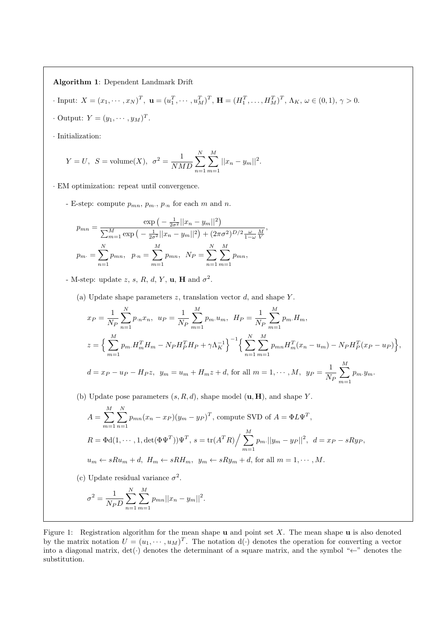Algorithm 1: Dependent Landmark Drift

$$
\text{Input: } X = (x_1, \dots, x_N)^T, \ \mathbf{u} = (u_1^T, \dots, u_M^T)^T, \ \mathbf{H} = (H_1^T, \dots, H_M^T)^T, \ \Lambda_K, \ \omega \in (0, 1), \ \gamma > 0.
$$

 $\cdot$  Output:  $Y = (y_1, \dots, y_M)^T$ .

· Initialization:

$$
Y = U
$$
,  $S = \text{volume}(X)$ ,  $\sigma^2 = \frac{1}{NMD} \sum_{n=1}^{N} \sum_{m=1}^{M} ||x_n - y_m||^2$ .

· EM optimization: repeat until convergence.

- E-step: compute  $p_{mn}, p_m, p_n$  for each m and n.

$$
p_{mn} = \frac{\exp\left(-\frac{1}{2\sigma^2}||x_n - y_m||^2\right)}{\sum_{m=1}^M \exp\left(-\frac{1}{2\sigma^2}||x_n - y_m||^2\right) + (2\pi\sigma^2)^{D/2}\frac{\omega}{1-\omega}\frac{M}{V}},
$$

$$
p_m = \sum_{n=1}^N p_{mn}, \quad p_m = \sum_{m=1}^M p_{mn}, \quad N_P = \sum_{n=1}^N \sum_{m=1}^M p_{mn},
$$

- M-step: update z, s, R, d, Y, u, H and  $\sigma^2$ .

(a) Update shape parameters  $z$ , translation vector  $d$ , and shape  $Y$ .

$$
x_P = \frac{1}{N_P} \sum_{n=1}^{N} p_{\cdot n} x_n, \quad u_P = \frac{1}{N_P} \sum_{m=1}^{M} p_m u_m, \quad H_P = \frac{1}{N_P} \sum_{m=1}^{M} p_m H_m,
$$
  

$$
z = \Big\{ \sum_{m=1}^{M} p_m H_m^T H_m - N_P H_P^T H_P + \gamma \Lambda_K^{-1} \Big\}^{-1} \Big\{ \sum_{n=1}^{N} \sum_{m=1}^{M} p_{mn} H_m^T (x_n - u_m) - N_P H_P^T (x_P - u_P) \Big\},
$$
  

$$
d = x_P - u_P - H_P z, \quad y_m = u_m + H_m z + d, \text{ for all } m = 1, \cdots, M, \quad y_P = \frac{1}{N_P} \sum_{m=1}^{M} p_m y_m.
$$

(b) Update pose parameters  $(s, R, d)$ , shape model  $(\mathbf{u}, \mathbf{H})$ , and shape Y.

$$
A = \sum_{m=1}^{M} \sum_{n=1}^{N} p_{mn} (x_n - x_P)(y_m - y_P)^T
$$
, compute SVD of  $A = \Phi L \Psi^T$ ,  
\n
$$
R = \Phi d(1, \dots, 1, \det(\Phi \Psi^T)) \Psi^T
$$
,  $s = \text{tr}(A^T R) / \sum_{m=1}^{M} p_m ||y_m - y_P||^2$ ,  $d = x_P - sRy_P$ ,  
\n $u_m \leftarrow sRu_m + d$ ,  $H_m \leftarrow sRH_m$ ,  $y_m \leftarrow sRy_m + d$ , for all  $m = 1, \dots, M$ .

(c) Update residual variance  $\sigma^2$ .

$$
\sigma^2 = \frac{1}{N_P D} \sum_{n=1}^{N} \sum_{m=1}^{M} p_{mn} ||x_n - y_m||^2.
$$

<span id="page-4-0"></span>Figure 1: Registration algorithm for the mean shape  $\bf{u}$  and point set X. The mean shape  $\bf{u}$  is also denoted by the matrix notation  $U = (u_1, \dots, u_M)^T$ . The notation  $d(\cdot)$  denotes the operation for converting a vector into a diagonal matrix,  $det(\cdot)$  denotes the determinant of a square matrix, and the symbol "←" denotes the substitution.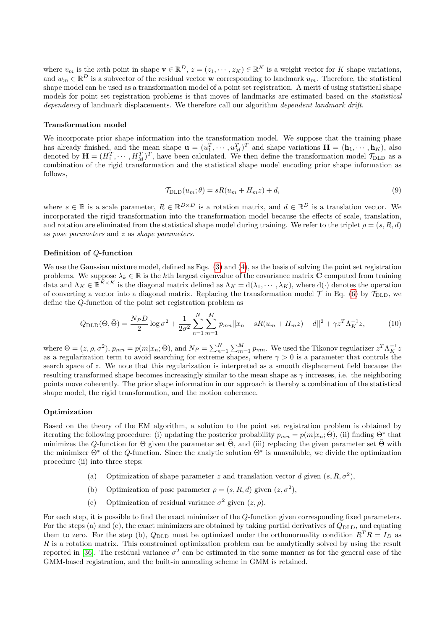where  $v_m$  is the mth point in shape  $\mathbf{v} \in \mathbb{R}^D$ ,  $z = (z_1, \dots, z_K) \in \mathbb{R}^K$  is a weight vector for K shape variations, and  $w_m \in \mathbb{R}^D$  is a subvector of the residual vector **w** corresponding to landmark  $u_m$ . Therefore, the statistical shape model can be used as a transformation model of a point set registration. A merit of using statistical shape models for point set registration problems is that moves of landmarks are estimated based on the *statistical* dependency of landmark displacements. We therefore call our algorithm dependent landmark drift.

#### Transformation model

We incorporate prior shape information into the transformation model. We suppose that the training phase has already finished, and the mean shape  $\mathbf{u} = (u_1^T, \dots, u_M^T)^T$  and shape variations  $\mathbf{H} = (\mathbf{h}_1, \dots, \mathbf{h}_K)$ , also denoted by  $\mathbf{H} = (H_1^T, \dots, H_M^T)^T$ , have been calculated. We then define the transformation model  $\mathcal{T}_{\text{DLD}}$  as a combination of the rigid transformation and the statistical shape model encoding prior shape information as follows,

$$
\mathcal{T}_{\text{DLD}}(u_m; \theta) = sR(u_m + H_m z) + d,\tag{9}
$$

where  $s \in \mathbb{R}$  is a scale parameter,  $R \in \mathbb{R}^{D \times D}$  is a rotation matrix, and  $d \in \mathbb{R}^{D}$  is a translation vector. We incorporated the rigid transformation into the transformation model because the effects of scale, translation, and rotation are eliminated from the statistical shape model during training. We refer to the triplet  $\rho = (s, R, d)$ as pose parameters and z as shape parameters.

### Definition of Q-function

We use the Gaussian mixture model, defined as Eqs. [\(3\)](#page-2-2) and [\(4\)](#page-2-0), as the basis of solving the point set registration problems. We suppose  $\lambda_k \in \mathbb{R}$  is the kth largest eigenvalue of the covariance matrix C computed from training data and  $\Lambda_K \in \mathbb{R}^{K \times K}$  is the diagonal matrix defined as  $\Lambda_K = d(\lambda_1, \dots, \lambda_K)$ , where  $d(\cdot)$  denotes the operation of converting a vector into a diagonal matrix. Replacing the transformation model  $\mathcal{T}$  in Eq. [\(6\)](#page-3-2) by  $\mathcal{T}_{\text{DLD}}$ , we define the Q-function of the point set registration problem as

$$
Q_{\text{DLD}}(\Theta, \bar{\Theta}) = \frac{N_P D}{2} \log \sigma^2 + \frac{1}{2\sigma^2} \sum_{n=1}^{N} \sum_{m=1}^{M} p_{mn} ||x_n - sR(u_m + H_m z) - d||^2 + \gamma z^T \Lambda_K^{-1} z,\tag{10}
$$

where  $\Theta = (z, \rho, \sigma^2), p_{mn} = p(m|x_n; \bar{\Theta}),$  and  $N_P = \sum_{n=1}^{N} \sum_{m=1}^{M} p_{mn}$ . We used the Tikonov regularizer  $z^T \Lambda_K^{-1} z$ as a regularization term to avoid searching for extreme shapes, where  $\gamma > 0$  is a parameter that controls the search space of z. We note that this regularization is interpreted as a smooth displacement field because the resulting transformed shape becomes increasingly similar to the mean shape as  $\gamma$  increases, i.e. the neighboring points move coherently. The prior shape information in our approach is thereby a combination of the statistical shape model, the rigid transformation, and the motion coherence.

#### Optimization

Based on the theory of the EM algorithm, a solution to the point set registration problem is obtained by iterating the following procedure: (i) updating the posterior probability  $p_{mn} = p(m|x_n; \bar{\Theta})$ , (ii) finding  $\Theta^*$  that minimizes the Q-function for  $\Theta$  given the parameter set  $\Theta$ , and (iii) replacing the given parameter set  $\Theta$  with the minimizer  $\Theta^*$  of the Q-function. Since the analytic solution  $\Theta^*$  is unavailable, we divide the optimization procedure (ii) into three steps:

- (a) Optimization of shape parameter z and translation vector d given  $(s, R, \sigma^2)$ ,
- (b) Optimization of pose parameter  $\rho = (s, R, d)$  given  $(z, \sigma^2)$ ,
- (c) Optimization of residual variance  $\sigma^2$  given  $(z, \rho)$ .

For each step, it is possible to find the exact minimizer of the Q-function given corresponding fixed parameters. For the steps (a) and (c), the exact minimizers are obtained by taking partial derivatives of  $Q_{\text{DLD}}$ , and equating them to zero. For the step (b),  $Q_{\text{DLD}}$  must be optimized under the orthonormality condition  $R^{T}R = I_{D}$  as  $R$  is a rotation matrix. This constrained optimization problem can be analytically solved by using the result reported in [\[36\]](#page-16-5). The residual variance  $\sigma^2$  can be estimated in the same manner as for the general case of the GMM-based registration, and the built-in annealing scheme in GMM is retained.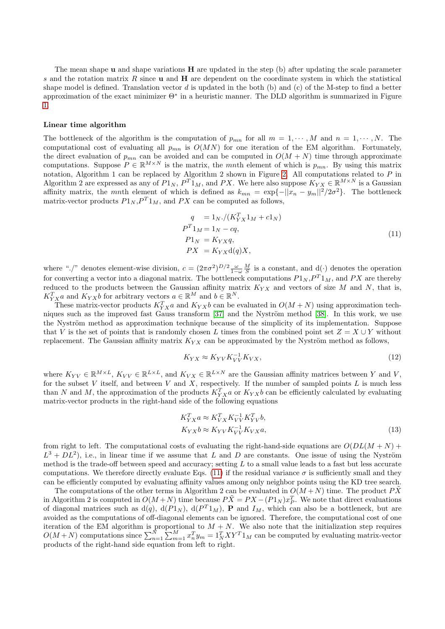The mean shape  $\bf{u}$  and shape variations  $\bf{H}$  are updated in the step (b) after updating the scale parameter s and the rotation matrix R since **u** and **H** are dependent on the coordinate system in which the statistical shape model is defined. Translation vector  $d$  is updated in the both (b) and (c) of the M-step to find a better approximation of the exact minimizer Θ<sup>∗</sup> in a heuristic manner. The DLD algorithm is summarized in Figure [1.](#page-4-0)

#### Linear time algorithm

The bottleneck of the algorithm is the computation of  $p_{mn}$  for all  $m = 1, \dots, M$  and  $n = 1, \dots, N$ . The computational cost of evaluating all  $p_{mn}$  is  $O(MN)$  for one iteration of the EM algorithm. Fortunately, the direct evaluation of  $p_{mn}$  can be avoided and can be computed in  $O(M + N)$  time through approximate computations. Suppose  $P \in \mathbb{R}^{M \times N}$  is the matrix, the *mnth* element of which is  $p_{mn}$ . By using this matrix notation, Algorithm 1 can be replaced by Algorithm 2 shown in Figure [2.](#page-7-0) All computations related to P in Algorithm 2 are expressed as any of  $P1_N$ ,  $P^T1_M$ , and PX. We here also suppose  $K_{YX} \in \mathbb{R}^{M \times N}$  is a Gaussian affinity matrix, the mnth element of which is defined as  $k_{mn} = \exp\{-||x_n - y_m||^2/2\sigma^2\}$ . The bottleneck matrix-vector products  $P1_N, P^T1_M$ , and PX can be computed as follows,

<span id="page-6-0"></span>
$$
q = 1_N \cdot / (K_{YX}^T 1_M + c1_N)
$$
  
\n
$$
P^T 1_M = 1_N - cq,
$$
  
\n
$$
P1_N = K_{YX}q,
$$
  
\n
$$
PX = K_{YX}d(q)X,
$$
\n(11)

where "./" denotes element-wise division,  $c = (2\pi\sigma^2)^{D/2} \frac{\omega}{1-\omega} \frac{M}{S}$  is a constant, and d(·) denotes the operation for converting a vector into a diagonal matrix. The bottleneck computations  $P1_N, P^T1_M$ , and  $PX$  are thereby reduced to the products between the Gaussian affinity matrix  $K_{YX}$  and vectors of size M and N, that is,  $K_{YX}^T a$  and  $K_{YX}b$  for arbitrary vectors  $a \in \mathbb{R}^M$  and  $b \in \mathbb{R}^N$ .

These matrix-vector products  $K_{YX}^T a$  and  $K_{YX}b$  can be evaluated in  $O(M+N)$  using approximation tech-niques such as the improved fast Gauss transform [\[37\]](#page-16-6) and the Nyström method [\[38\]](#page-16-7). In this work, we use the Nyström method as approximation technique because of the simplicity of its implementation. Suppose that V is the set of points that is randomly chosen L times from the combined point set  $Z = X \cup Y$  without replacement. The Gaussian affinity matrix  $K_{YX}$  can be approximated by the Nyström method as follows,

$$
K_{YX} \approx K_{YV} K_{VV}^{-1} K_{VX},\tag{12}
$$

where  $K_{YV} \in \mathbb{R}^{M \times L}$ ,  $K_{VV} \in \mathbb{R}^{L \times L}$ , and  $K_{VX} \in \mathbb{R}^{L \times N}$  are the Gaussian affinity matrices between Y and V, for the subset  $V$  itself, and between  $V$  and  $X$ , respectively. If the number of sampled points  $L$  is much less than N and M, the approximation of the products  $K_{YX}^T a$  or  $K_{YX}b$  can be efficiently calculated by evaluating matrix-vector products in the right-hand side of the following equations

$$
K_{YX}^{T}a \approx K_{VX}^{T}K_{VV}^{-1}K_{YV}^{T}b,
$$
  
\n
$$
K_{YX}b \approx K_{YV}K_{VV}^{-1}K_{VX}a,
$$
\n(13)

from right to left. The computational costs of evaluating the right-hand-side equations are  $O(DL(M + N) +$  $L^3 + DL^2$ ), i.e., in linear time if we assume that L and D are constants. One issue of using the Nyström method is the trade-off between speed and accuracy; setting  $L$  to a small value leads to a fast but less accurate computations. We therefore directly evaluate Eqs. [\(11\)](#page-6-0) if the residual variance  $\sigma$  is sufficiently small and they can be efficiently computed by evaluating affinity values among only neighbor points using the KD tree search.

The computations of the other terms in Algorithm 2 can be evaluated in  $O(M+N)$  time. The product PX in Algorithm 2 is computed in  $O(M+N)$  time because  $P\tilde{X} = PX - (P1_N)x_P^T$ . We note that direct evaluations of diagonal matrices such as  $d(q)$ ,  $d(P_1_N)$ ,  $d(P_1_M)$ , **P** and  $I_M$ , which can also be a bottleneck, but are avoided as the computations of off-diagonal elements can be ignored. Therefore, the computational cost of one iteration of the EM algorithm is proportional to  $M + N$ . We also note that the initialization step requires  $O(M+N)$  computations since  $\sum_{n=1}^{N} \sum_{m=1}^{M} x_n^T y_m = 1_N^T XY^T 1_M$  can be computed by evaluating matrix-vector products of the right-hand side equation from left to right.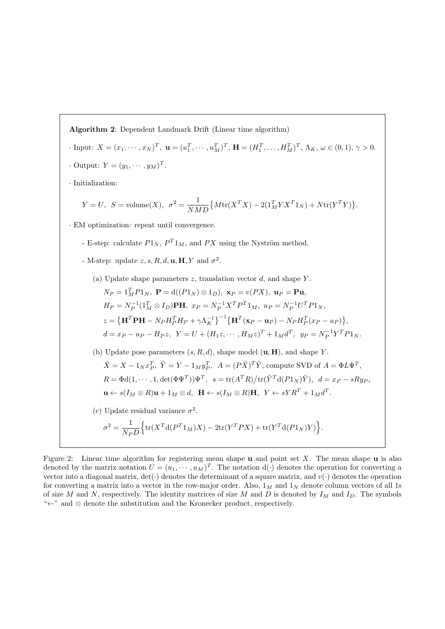Algorithm 2: Dependent Landmark Drift (Linear time algorithm)  $\text{Input: } X = (x_1, \dots, x_N)^T, \ \mathbf{u} = (u_1^T, \dots, u_M^T)^T, \ \mathbf{H} = (H_1^T, \dots, H_M^T)^T, \ \Lambda_K, \ \omega \in (0, 1), \ \gamma > 0.$  $\cdot$  Output:  $Y = (y_1, \dots, y_M)^T$ . · Initialization:  $Y = U$ ,  $S = \text{volume}(X)$ ,  $\sigma^2 = \frac{1}{N}$  $\frac{1}{NMD} \big\{ M \text{tr}(X^T X) - 2(1_M^T Y X^T 1_N) + N \text{tr}(Y^T Y) \big\}.$ · EM optimization: repeat until convergence. - E-step: calculate  $P1_N$ ,  $P^T1_M$ , and  $PX$  using the Nyström method. - M-step: update  $z, s, R, d, \mathbf{u}, \mathbf{H}, Y$  and  $\sigma^2$ . (a) Update shape parameters  $z$ , translation vector  $d$ , and shape  $Y$ .  $N_P = 1_M^T P 1_N$ ,  $\mathbf{P} = d((P 1_N) \otimes 1_D)$ ,  $\mathbf{x}_P = v(P X)$ ,  $\mathbf{u}_P = \mathbf{P} \mathbf{u}$ ,  $H_P = N_P^{-1} (1_M^T \otimes I_D)$ **PH**,  $x_P = N_P^{-1} X^T P^T 1_M$ ,  $u_P = N_P^{-1} U^T P 1_N$ ,  $z = \left\{ \mathbf{H}^T \mathbf{P} \mathbf{H} - N_P H_P^T H_P + \gamma \Lambda_K^{-1} \right\}^{-1} \left\{ \mathbf{H}^T (\mathbf{x}_P - \mathbf{u}_P) - N_P H_P^T (x_P - u_P) \right\},$  $d = x_P - u_P - H_P z$ ,  $Y = U + (H_1 z, \dots, H_M z)^T + 1_M d^T$ ,  $y_P = N_P^{-1} Y^T P 1_N$ . (b) Update pose parameters  $(s, R, d)$ , shape model  $(\mathbf{u}, \mathbf{H})$ , and shape Y.  $\tilde{X} = X - 1_N x_P^T$ ,  $\tilde{Y} = Y - 1_M y_P^T$ ,  $A = (P\tilde{X})^T \tilde{Y}$ , compute SVD of  $A = \Phi L \Psi^T$ ,  $R = \Phi \mathrm{d}(1,\cdots,1,\det(\Phi \Psi^T)) \Psi^T, \ \ s = \mathrm{tr}(A^T R) / \mathrm{tr}(\tilde{Y}^T \mathrm{d}(P 1_N) \tilde{Y}), \ \ d = x_P - sRy_P,$  $\mathbf{u} \leftarrow s(I_M \otimes R)\mathbf{u} + 1_M \otimes d, \ \ \mathbf{H} \leftarrow s(I_M \otimes R)\mathbf{H}, \ \ Y \leftarrow sYR^T + 1_Md^T.$ (c) Update residual variance  $\sigma^2$ .  $\sigma^2 = \frac{1}{\gamma}$  $N_P D$  $\left\{\text{tr}(X^T\text{d}(P^T1_M)X) - 2\text{tr}(Y^TPX) + \text{tr}(Y^T\text{d}(P1_N)Y)\right\}.$ 

<span id="page-7-0"></span>Figure 2: Linear time algorithm for registering mean shape  $\bf{u}$  and point set X. The mean shape  $\bf{u}$  is also denoted by the matrix notation  $U = (u_1, \dots, u_M)^T$ . The notation  $d(\cdot)$  denotes the operation for converting a vector into a diagonal matrix,  $det(\cdot)$  denotes the determinant of a square matrix, and  $v(\cdot)$  denotes the operation for converting a matrix into a vector in the row-major order. Also,  $1_M$  and  $1_N$  denote column vectors of all 1s of size M and N, respectively. The identity matrices of size M and D is denoted by  $I_M$  and  $I_D$ . The symbols "←" and ⊗ denote the substitution and the Kronecker product, respectively.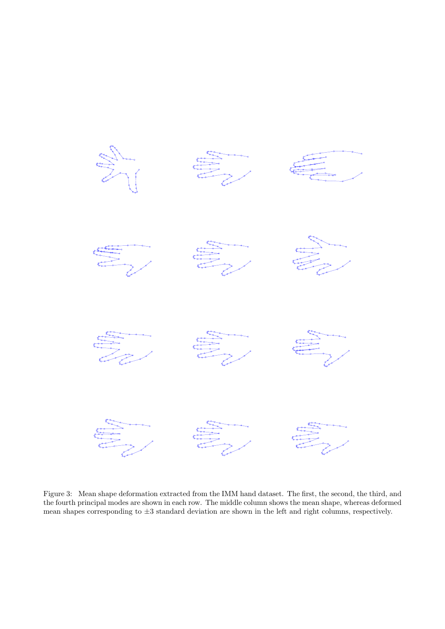

<span id="page-8-0"></span>Figure 3: Mean shape deformation extracted from the IMM hand dataset. The first, the second, the third, and the fourth principal modes are shown in each row. The middle column shows the mean shape, whereas deformed mean shapes corresponding to  $\pm 3$  standard deviation are shown in the left and right columns, respectively.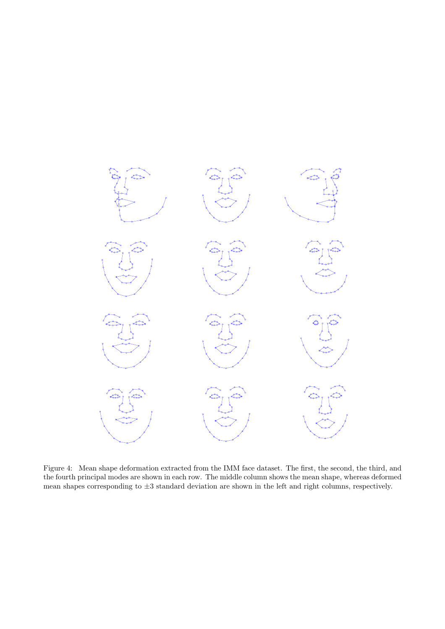

<span id="page-9-0"></span>Figure 4: Mean shape deformation extracted from the IMM face dataset. The first, the second, the third, and the fourth principal modes are shown in each row. The middle column shows the mean shape, whereas deformed mean shapes corresponding to  $\pm 3$  standard deviation are shown in the left and right columns, respectively.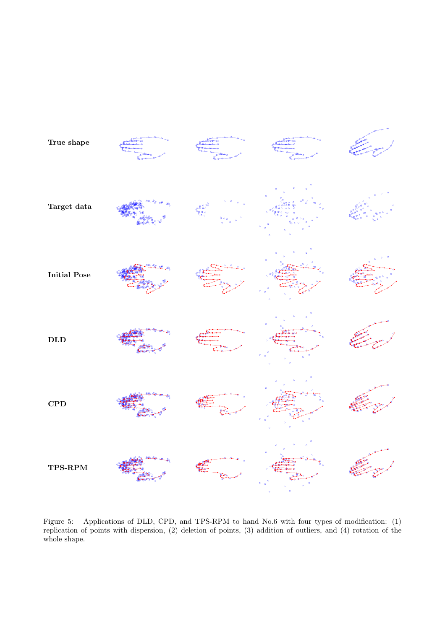

<span id="page-10-0"></span>Figure 5: Applications of DLD, CPD, and TPS-RPM to hand No.6 with four types of modification: (1) replication of points with dispersion, (2) deletion of points, (3) addition of outliers, and (4) rotation of the whole shape.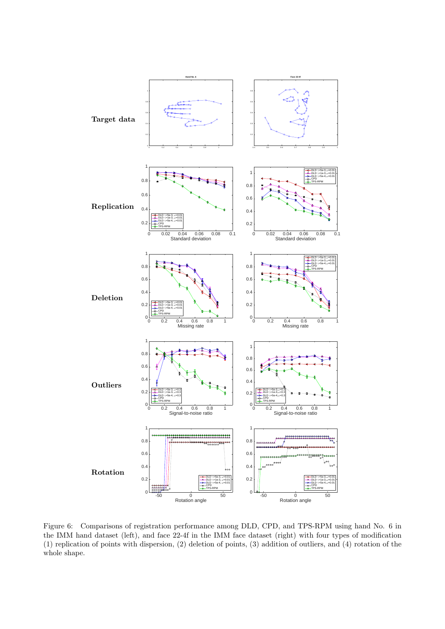

<span id="page-11-0"></span>Figure 6: Comparisons of registration performance among DLD, CPD, and TPS-RPM using hand No. 6 in the IMM hand dataset (left), and face 22-4f in the IMM face dataset (right) with four types of modification (1) replication of points with dispersion, (2) deletion of points, (3) addition of outliers, and (4) rotation of the whole shape.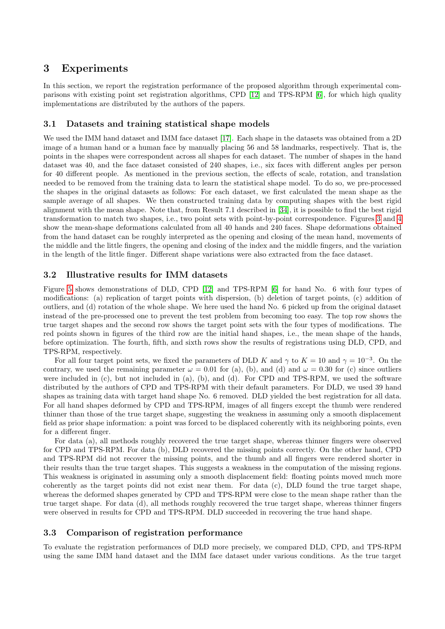# 3 Experiments

In this section, we report the registration performance of the proposed algorithm through experimental comparisons with existing point set registration algorithms, CPD [\[12\]](#page-15-2) and TPS-RPM [\[6\]](#page-14-5), for which high quality implementations are distributed by the authors of the papers.

# 3.1 Datasets and training statistical shape models

We used the IMM hand dataset and IMM face dataset [\[17\]](#page-15-7). Each shape in the datasets was obtained from a 2D image of a human hand or a human face by manually placing 56 and 58 landmarks, respectively. That is, the points in the shapes were correspondent across all shapes for each dataset. The number of shapes in the hand dataset was 40, and the face dataset consisted of 240 shapes, i.e., six faces with different angles per person for 40 different people. As mentioned in the previous section, the effects of scale, rotation, and translation needed to be removed from the training data to learn the statistical shape model. To do so, we pre-processed the shapes in the original datasets as follows: For each dataset, we first calculated the mean shape as the sample average of all shapes. We then constructed training data by computing shapes with the best rigid alignment with the mean shape. Note that, from Result 7.1 described in [\[34\]](#page-16-3), it is possible to find the best rigid transformation to match two shapes, i.e., two point sets with point-by-point correspondence. Figures [3](#page-8-0) and [4](#page-9-0) show the mean-shape deformations calculated from all 40 hands and 240 faces. Shape deformations obtained from the hand dataset can be roughly interpreted as the opening and closing of the mean hand, movements of the middle and the little fingers, the opening and closing of the index and the middle fingers, and the variation in the length of the little finger. Different shape variations were also extracted from the face dataset.

# 3.2 Illustrative results for IMM datasets

Figure [5](#page-10-0) shows demonstrations of DLD, CPD [\[12\]](#page-15-2) and TPS-RPM [\[6\]](#page-14-5) for hand No. 6 with four types of modifications: (a) replication of target points with dispersion, (b) deletion of target points, (c) addition of outliers, and (d) rotation of the whole shape. We here used the hand No. 6 picked up from the original dataset instead of the pre-processed one to prevent the test problem from becoming too easy. The top row shows the true target shapes and the second row shows the target point sets with the four types of modifications. The red points shown in figures of the third row are the initial hand shapes, i.e., the mean shape of the hands, before optimization. The fourth, fifth, and sixth rows show the results of registrations using DLD, CPD, and TPS-RPM, respectively.

For all four target point sets, we fixed the parameters of DLD K and  $\gamma$  to  $K = 10$  and  $\gamma = 10^{-3}$ . On the contrary, we used the remaining parameter  $\omega = 0.01$  for (a), (b), and (d) and  $\omega = 0.30$  for (c) since outliers were included in (c), but not included in (a), (b), and (d). For CPD and TPS-RPM, we used the software distributed by the authors of CPD and TPS-RPM with their default parameters. For DLD, we used 39 hand shapes as training data with target hand shape No. 6 removed. DLD yielded the best registration for all data. For all hand shapes deformed by CPD and TPS-RPM, images of all fingers except the thumb were rendered thinner than those of the true target shape, suggesting the weakness in assuming only a smooth displacement field as prior shape information: a point was forced to be displaced coherently with its neighboring points, even for a different finger.

For data (a), all methods roughly recovered the true target shape, whereas thinner fingers were observed for CPD and TPS-RPM. For data (b), DLD recovered the missing points correctly. On the other hand, CPD and TPS-RPM did not recover the missing points, and the thumb and all fingers were rendered shorter in their results than the true target shapes. This suggests a weakness in the computation of the missing regions. This weakness is originated in assuming only a smooth displacement field: floating points moved much more coherently as the target points did not exist near them. For data (c), DLD found the true target shape, whereas the deformed shapes generated by CPD and TPS-RPM were close to the mean shape rather than the true target shape. For data (d), all methods roughly recovered the true target shape, whereas thinner fingers were observed in results for CPD and TPS-RPM. DLD succeeded in recovering the true hand shape.

## 3.3 Comparison of registration performance

To evaluate the registration performances of DLD more precisely, we compared DLD, CPD, and TPS-RPM using the same IMM hand dataset and the IMM face dataset under various conditions. As the true target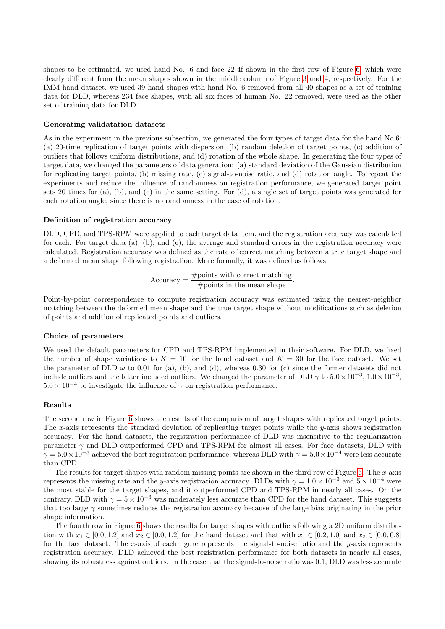shapes to be estimated, we used hand No. 6 and face 22-4f shown in the first row of Figure [6,](#page-11-0) which were clearly different from the mean shapes shown in the middle column of Figure [3](#page-8-0) and [4,](#page-9-0) respectively. For the IMM hand dataset, we used 39 hand shapes with hand No. 6 removed from all 40 shapes as a set of training data for DLD, whereas 234 face shapes, with all six faces of human No. 22 removed, were used as the other set of training data for DLD.

#### Generating validatation datasets

As in the experiment in the previous subsection, we generated the four types of target data for the hand No.6: (a) 20-time replication of target points with dispersion, (b) random deletion of target points, (c) addition of outliers that follows uniform distributions, and (d) rotation of the whole shape. In generating the four types of target data, we changed the parameters of data generation: (a) standard deviation of the Gaussian distribution for replicating target points, (b) missing rate, (c) signal-to-noise ratio, and (d) rotation angle. To repeat the experiments and reduce the influence of randomness on registration performance, we generated target point sets 20 times for (a), (b), and (c) in the same setting. For (d), a single set of target points was generated for each rotation angle, since there is no randomness in the case of rotation.

#### Definition of registration accuracy

DLD, CPD, and TPS-RPM were applied to each target data item, and the registration accuracy was calculated for each. For target data (a), (b), and (c), the average and standard errors in the registration accuracy were calculated. Registration accuracy was defined as the rate of correct matching between a true target shape and a deformed mean shape following registration. More formally, it was defined as follows

$$
Accuracy = \frac{\text{\#points with correct matching}}{\text{\#points in the mean shape}}.
$$

Point-by-point correspondence to compute registration accuracy was estimated using the nearest-neighbor matching between the deformed mean shape and the true target shape without modifications such as deletion of points and addtion of replicated points and outliers.

#### Choice of parameters

We used the default parameters for CPD and TPS-RPM implemented in their software. For DLD, we fixed the number of shape variations to  $K = 10$  for the hand dataset and  $K = 30$  for the face dataset. We set the parameter of DLD  $\omega$  to 0.01 for (a), (b), and (d), whereas 0.30 for (c) since the former datasets did not include outliers and the latter included outliers. We changed the parameter of DLD  $\gamma$  to  $5.0 \times 10^{-3}$ ,  $1.0 \times 10^{-3}$ ,  $5.0 \times 10^{-4}$  to investigate the influence of  $\gamma$  on registration performance.

### Results

The second row in Figure [6](#page-11-0) shows the results of the comparison of target shapes with replicated target points. The x-axis represents the standard deviation of replicating target points while the  $y$ -axis shows registration accuracy. For the hand datasets, the registration performance of DLD was insensitive to the regularization parameter  $\gamma$  and DLD outperformed CPD and TPS-RPM for almost all cases. For face datasets, DLD with  $\gamma = 5.0 \times 10^{-3}$  achieved the best registration performance, whereas DLD with  $\gamma = 5.0 \times 10^{-4}$  were less accurate than CPD.

The results for target shapes with random missing points are shown in the third row of Figure [6.](#page-11-0) The  $x$ -axis represents the missing rate and the y-axis registration accuracy. DLDs with  $\gamma = 1.0 \times 10^{-3}$  and  $5 \times 10^{-4}$  were the most stable for the target shapes, and it outperformed CPD and TPS-RPM in nearly all cases. On the contrary, DLD with  $\gamma = 5 \times 10^{-3}$  was moderately less accurate than CPD for the hand dataset. This suggests that too large  $\gamma$  sometimes reduces the registration accuracy because of the large bias originating in the prior shape information.

The fourth row in Figure [6](#page-11-0) shows the results for target shapes with outliers following a 2D uniform distribution with  $x_1 \in [0.0, 1.2]$  and  $x_2 \in [0.0, 1.2]$  for the hand dataset and that with  $x_1 \in [0.2, 1.0]$  and  $x_2 \in [0.0, 0.8]$ for the face dataset. The x-axis of each figure represents the signal-to-noise ratio and the y-axis represents registration accuracy. DLD achieved the best registration performance for both datasets in nearly all cases, showing its robustness against outliers. In the case that the signal-to-noise ratio was 0.1, DLD was less accurate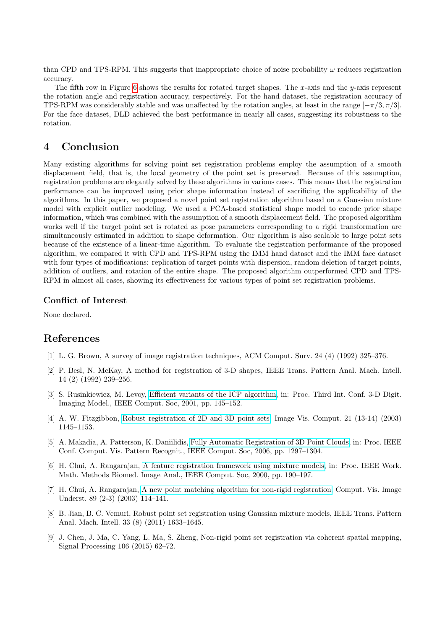than CPD and TPS-RPM. This suggests that inappropriate choice of noise probability  $\omega$  reduces registration accuracy.

The fifth row in Figure [6](#page-11-0) shows the results for rotated target shapes. The x-axis and the  $y$ -axis represent the rotation angle and registration accuracy, respectively. For the hand dataset, the registration accuracy of TPS-RPM was considerably stable and was unaffected by the rotation angles, at least in the range  $[-\pi/3, \pi/3]$ . For the face dataset, DLD achieved the best performance in nearly all cases, suggesting its robustness to the rotation.

# 4 Conclusion

Many existing algorithms for solving point set registration problems employ the assumption of a smooth displacement field, that is, the local geometry of the point set is preserved. Because of this assumption, registration problems are elegantly solved by these algorithms in various cases. This means that the registration performance can be improved using prior shape information instead of sacrificing the applicability of the algorithms. In this paper, we proposed a novel point set registration algorithm based on a Gaussian mixture model with explicit outlier modeling. We used a PCA-based statistical shape model to encode prior shape information, which was combined with the assumption of a smooth displacement field. The proposed algorithm works well if the target point set is rotated as pose parameters corresponding to a rigid transformation are simultaneously estimated in addition to shape deformation. Our algorithm is also scalable to large point sets because of the existence of a linear-time algorithm. To evaluate the registration performance of the proposed algorithm, we compared it with CPD and TPS-RPM using the IMM hand dataset and the IMM face dataset with four types of modifications: replication of target points with dispersion, random deletion of target points, addition of outliers, and rotation of the entire shape. The proposed algorithm outperformed CPD and TPS-RPM in almost all cases, showing its effectiveness for various types of point set registration problems.

# Conflict of Interest

None declared.

# References

- <span id="page-14-0"></span>[1] L. G. Brown, A survey of image registration techniques, ACM Comput. Surv. 24 (4) (1992) 325–376.
- <span id="page-14-1"></span>[2] P. Besl, N. McKay, A method for registration of 3-D shapes, IEEE Trans. Pattern Anal. Mach. Intell. 14 (2) (1992) 239–256.
- <span id="page-14-2"></span>[3] S. Rusinkiewicz, M. Levoy, [Efficient variants of the ICP algorithm,](http://ieeexplore.ieee.org/document/924423/) in: Proc. Third Int. Conf. 3-D Digit. Imaging Model., IEEE Comput. Soc, 2001, pp. 145–152.
- <span id="page-14-3"></span>[4] A. W. Fitzgibbon, [Robust registration of 2D and 3D point sets,](http://linkinghub.elsevier.com/retrieve/pii/S0262885603001835) Image Vis. Comput. 21 (13-14) (2003) 1145–1153.
- <span id="page-14-4"></span>[5] A. Makadia, A. Patterson, K. Daniilidis, [Fully Automatic Registration of 3D Point Clouds,](http://ieeexplore.ieee.org/lpdocs/epic03/wrapper.htm?arnumber=1640899 http://ieeexplore.ieee.org/document/1640899/) in: Proc. IEEE Conf. Comput. Vis. Pattern Recognit., IEEE Comput. Soc, 2006, pp. 1297–1304.
- <span id="page-14-5"></span>[6] H. Chui, A. Rangarajan, [A feature registration framework using mixture models,](http://citeseerx.ist.psu.edu/viewdoc/download?doi=10.1.1.27.2728{&}rep=rep1{&}type=pdf http://ieeexplore.ieee.org/document/852377/) in: Proc. IEEE Work. Math. Methods Biomed. Image Anal., IEEE Comput. Soc, 2000, pp. 190–197.
- <span id="page-14-6"></span>[7] H. Chui, A. Rangarajan, [A new point matching algorithm for non-rigid registration,](http://linkinghub.elsevier.com/retrieve/pii/S1077314203000092) Comput. Vis. Image Underst. 89 (2-3) (2003) 114–141.
- <span id="page-14-7"></span>[8] B. Jian, B. C. Vemuri, Robust point set registration using Gaussian mixture models, IEEE Trans. Pattern Anal. Mach. Intell. 33 (8) (2011) 1633–1645.
- <span id="page-14-8"></span>[9] J. Chen, J. Ma, C. Yang, L. Ma, S. Zheng, Non-rigid point set registration via coherent spatial mapping, Signal Processing 106 (2015) 62–72.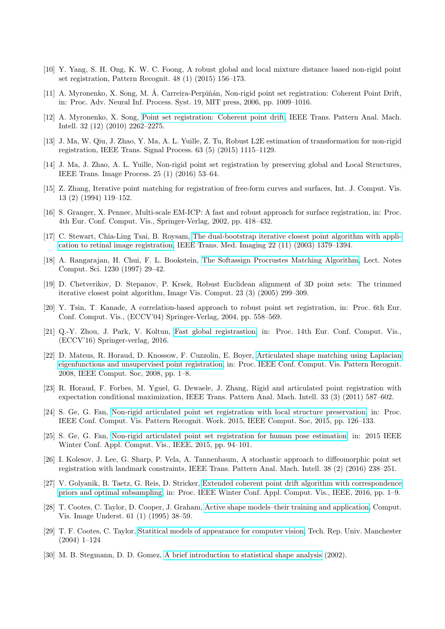- <span id="page-15-0"></span>[10] Y. Yang, S. H. Ong, K. W. C. Foong, A robust global and local mixture distance based non-rigid point set registration, Pattern Recognit. 48 (1) (2015) 156–173.
- <span id="page-15-1"></span>[11] A. Myronenko, X. Song, M. Á. Carreira-Perpiñán, Non-rigid point set registration: Coherent Point Drift, in: Proc. Adv. Neural Inf. Process. Syst. 19, MIT press, 2006, pp. 1009–1016.
- <span id="page-15-2"></span>[12] A. Myronenko, X. Song, [Point set registration: Coherent point drift,]( http://www.ncbi.nlm.nih.gov/pubmed/26276991{%}255Cnhttp://ieeexplore.ieee.org/lpdocs/epic03/wrapper.htm?arnumber=7185406 %% http://graphics.stanford.edu/courses/cs164-09-spring/Handouts/paper{_}shape{_}spaces{_}imm403.pdf %% http://diglib.eg.org/EG/DL/conf/EG2012/tutor ) IEEE Trans. Pattern Anal. Mach. Intell. 32 (12) (2010) 2262–2275.
- <span id="page-15-3"></span>[13] J. Ma, W. Qiu, J. Zhao, Y. Ma, A. L. Yuille, Z. Tu, Robust L2E estimation of transformation for non-rigid registration, IEEE Trans. Signal Process. 63 (5) (2015) 1115–1129.
- <span id="page-15-4"></span>[14] J. Ma, J. Zhao, A. L. Yuille, Non-rigid point set registration by preserving global and Local Structures, IEEE Trans. Image Process. 25 (1) (2016) 53–64.
- <span id="page-15-5"></span>[15] Z. Zhang, Iterative point matching for registration of free-form curves and surfaces, Int. J. Comput. Vis. 13 (2) (1994) 119–152.
- <span id="page-15-6"></span>[16] S. Granger, X. Pennec, Multi-scale EM-ICP: A fast and robust approach for surface registration, in: Proc. 4th Eur. Conf. Comput. Vis., Springer-Verlag, 2002, pp. 418–432.
- <span id="page-15-7"></span>[17] C. Stewart, Chia-Ling Tsai, B. Roysam, [The dual-bootstrap iterative closest point algorithm with appli](http://ieeexplore.ieee.org/document/1242341/)[cation to retinal image registration,](http://ieeexplore.ieee.org/document/1242341/) IEEE Trans. Med. Imaging 22 (11) (2003) 1379–1394.
- <span id="page-15-8"></span>[18] A. Rangarajan, H. Chui, F. L. Bookstein, [The Softassign Procrustes Matching Algorithm,](http://link.springer.com/chapter/10.1007/3-540-63046-5{_}3) Lect. Notes Comput. Sci. 1230 (1997) 29–42.
- <span id="page-15-9"></span>[19] D. Chetverikov, D. Stepanov, P. Krsek, Robust Euclidean alignment of 3D point sets: The trimmed iterative closest point algorithm, Image Vis. Comput. 23 (3) (2005) 299–309.
- <span id="page-15-10"></span>[20] Y. Tsin, T. Kanade, A correlation-based approach to robust point set registration, in: Proc. 6th Eur. Conf. Comput. Vis., (ECCV'04) Springer-Verlag, 2004, pp. 558–569.
- <span id="page-15-11"></span>[21] Q.-Y. Zhou, J. Park, V. Koltun, [Fast global registrastion,](http://link.springer.com/10.1007/978-3-319-46448-0) in: Proc. 14th Eur. Conf. Comput. Vis., (ECCV'16) Springer-verlag, 2016.
- <span id="page-15-12"></span>[22] D. Mateus, R. Horaud, D. Knossow, F. Cuzzolin, E. Boyer, [Articulated shape matching using Laplacian](http://ieeexplore.ieee.org/document/4587538/) [eigenfunctions and unsupervised point registration,](http://ieeexplore.ieee.org/document/4587538/) in: Proc. IEEE Conf. Comput. Vis. Pattern Recognit. 2008, IEEE Comput. Soc, 2008, pp. 1–8.
- <span id="page-15-13"></span>[23] R. Horaud, F. Forbes, M. Yguel, G. Dewaele, J. Zhang, Rigid and articulated point registration with expectation conditional maximization, IEEE Trans. Pattern Anal. Mach. Intell. 33 (3) (2011) 587–602.
- <span id="page-15-14"></span>[24] S. Ge, G. Fan, [Non-rigid articulated point set registration with local structure preservation,](http://ieeexplore.ieee.org/document/7301306/) in: Proc. IEEE Conf. Comput. Vis. Pattern Recognit. Work. 2015, IEEE Comput. Soc, 2015, pp. 126–133.
- <span id="page-15-15"></span>[25] S. Ge, G. Fan, [Non-rigid articulated point set registration for human pose estimation,](http://ieeexplore.ieee.org/document/7045874/) in: 2015 IEEE Winter Conf. Appl. Comput. Vis., IEEE, 2015, pp. 94–101.
- <span id="page-15-16"></span>[26] I. Kolesov, J. Lee, G. Sharp, P. Vela, A. Tannenbaum, A stochastic approach to diffeomorphic point set registration with landmark constraints, IEEE Trans. Pattern Anal. Mach. Intell. 38 (2) (2016) 238–251.
- <span id="page-15-17"></span>[27] V. Golyanik, B. Taetz, G. Reis, D. Stricker, [Extended coherent point drift algorithm with correspondence](http://ieeexplore.ieee.org/document/7477719/) [priors and optimal subsampling,](http://ieeexplore.ieee.org/document/7477719/) in: Proc. IEEE Winter Conf. Appl. Comput. Vis., IEEE, 2016, pp. 1–9.
- <span id="page-15-18"></span>[28] T. Cootes, C. Taylor, D. Cooper, J. Graham, [Active shape models–their training and application,](http://linkinghub.elsevier.com/retrieve/pii/S1077314285710041) Comput. Vis. Image Underst. 61 (1) (1995) 38–59.
- <span id="page-15-19"></span>[29] T. F. Cootes, C. Taylor, [Statitical models of appearance for computer vision,](http://citeseerx.ist.psu.edu/viewdoc/download?doi=10.1.1.58.1455{&}rep=rep1{&}type=pdf) Tech. Rep. Univ. Manchester (2004) 1–124
- <span id="page-15-20"></span>[30] M. B. Stegmann, D. D. Gomez, [A brief introduction to statistical shape analysis](http://graphics.stanford.edu/courses/cs164-09-spring/Handouts/paper{_}shape{_}spaces{_}imm403.pdf) (2002).